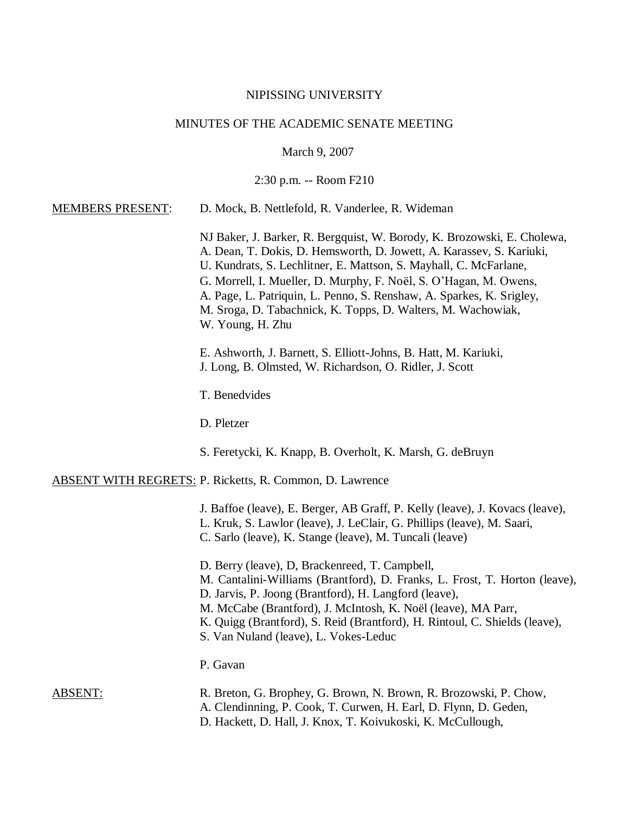#### NIPISSING UNIVERSITY

## MINUTES OF THE ACADEMIC SENATE MEETING

March 9, 2007

2:30 p.m. -- Room F210

#### MEMBERS PRESENT: D. Mock, B. Nettlefold, R. Vanderlee, R. Wideman

NJ Baker, J. Barker, R. Bergquist, W. Borody, K. Brozowski, E. Cholewa, A. Dean, T. Dokis, D. Hemsworth, D. Jowett, A. Karassev, S. Kariuki, U. Kundrats, S. Lechlitner, E. Mattson, S. Mayhall, C. McFarlane, G. Morrell, I. Mueller, D. Murphy, F. Noël, S. O'Hagan, M. Owens, A. Page, L. Patriquin, L. Penno, S. Renshaw, A. Sparkes, K. Srigley, M. Sroga, D. Tabachnick, K. Topps, D. Walters, M. Wachowiak, W. Young, H. Zhu

E. Ashworth, J. Barnett, S. Elliott-Johns, B. Hatt, M. Kariuki, J. Long, B. Olmsted, W. Richardson, O. Ridler, J. Scott

T. Benedvides

D. Pletzer

S. Feretycki, K. Knapp, B. Overholt, K. Marsh, G. deBruyn

ABSENT WITH REGRETS: P. Ricketts, R. Common, D. Lawrence

- J. Baffoe (leave), E. Berger, AB Graff, P. Kelly (leave), J. Kovacs (leave),
- L. Kruk, S. Lawlor (leave), J. LeClair, G. Phillips (leave), M. Saari,
- C. Sarlo (leave), K. Stange (leave), M. Tuncali (leave)
- D. Berry (leave), D, Brackenreed, T. Campbell,
- M. Cantalini-Williams (Brantford), D. Franks, L. Frost, T. Horton (leave),

D. Jarvis, P. Joong (Brantford), H. Langford (leave),

- M. McCabe (Brantford), J. McIntosh, K. Noël (leave), MA Parr,
- K. Quigg (Brantford), S. Reid (Brantford), H. Rintoul, C. Shields (leave),
- S. Van Nuland (leave), L. Vokes-Leduc

#### P. Gavan

- ABSENT: R. Breton, G. Brophey, G. Brown, N. Brown, R. Brozowski, P. Chow,
	- A. Clendinning, P. Cook, T. Curwen, H. Earl, D. Flynn, D. Geden,
	- D. Hackett, D. Hall, J. Knox, T. Koivukoski, K. McCullough,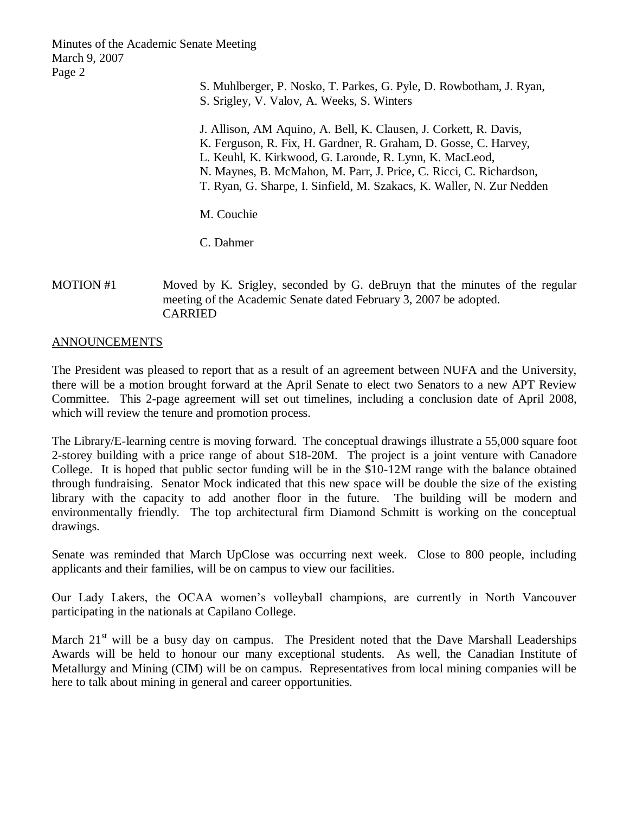- S. Muhlberger, P. Nosko, T. Parkes, G. Pyle, D. Rowbotham, J. Ryan,
- S. Srigley, V. Valov, A. Weeks, S. Winters
- J. Allison, AM Aquino, A. Bell, K. Clausen, J. Corkett, R. Davis,
- K. Ferguson, R. Fix, H. Gardner, R. Graham, D. Gosse, C. Harvey,
- L. Keuhl, K. Kirkwood, G. Laronde, R. Lynn, K. MacLeod,
- N. Maynes, B. McMahon, M. Parr, J. Price, C. Ricci, C. Richardson,
- T. Ryan, G. Sharpe, I. Sinfield, M. Szakacs, K. Waller, N. Zur Nedden

M. Couchie

C. Dahmer

# MOTION #1 Moved by K. Srigley, seconded by G. deBruyn that the minutes of the regular meeting of the Academic Senate dated February 3, 2007 be adopted. CARRIED

## ANNOUNCEMENTS

The President was pleased to report that as a result of an agreement between NUFA and the University, there will be a motion brought forward at the April Senate to elect two Senators to a new APT Review Committee. This 2-page agreement will set out timelines, including a conclusion date of April 2008, which will review the tenure and promotion process.

The Library/E-learning centre is moving forward. The conceptual drawings illustrate a 55,000 square foot 2-storey building with a price range of about \$18-20M. The project is a joint venture with Canadore College. It is hoped that public sector funding will be in the \$10-12M range with the balance obtained through fundraising. Senator Mock indicated that this new space will be double the size of the existing library with the capacity to add another floor in the future. The building will be modern and environmentally friendly. The top architectural firm Diamond Schmitt is working on the conceptual drawings.

Senate was reminded that March UpClose was occurring next week. Close to 800 people, including applicants and their families, will be on campus to view our facilities.

Our Lady Lakers, the OCAA women's volleyball champions, are currently in North Vancouver participating in the nationals at Capilano College.

March  $21<sup>st</sup>$  will be a busy day on campus. The President noted that the Dave Marshall Leaderships Awards will be held to honour our many exceptional students. As well, the Canadian Institute of Metallurgy and Mining (CIM) will be on campus. Representatives from local mining companies will be here to talk about mining in general and career opportunities.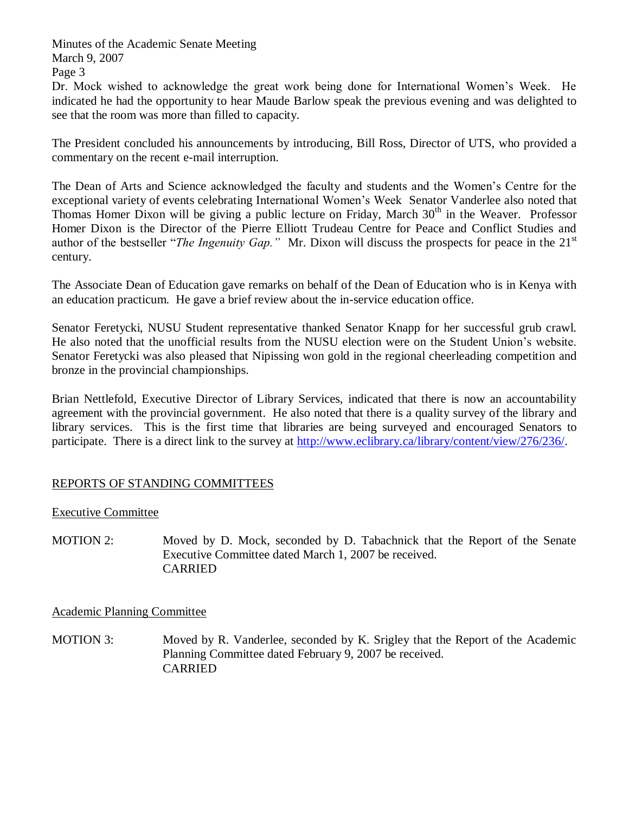Dr. Mock wished to acknowledge the great work being done for International Women's Week. He indicated he had the opportunity to hear Maude Barlow speak the previous evening and was delighted to see that the room was more than filled to capacity.

The President concluded his announcements by introducing, Bill Ross, Director of UTS, who provided a commentary on the recent e-mail interruption.

The Dean of Arts and Science acknowledged the faculty and students and the Women's Centre for the exceptional variety of events celebrating International Women's Week Senator Vanderlee also noted that Thomas Homer Dixon will be giving a public lecture on Friday, March  $30<sup>th</sup>$  in the Weaver. Professor Homer Dixon is the Director of the Pierre Elliott Trudeau Centre for Peace and Conflict Studies and author of the bestseller "*The Ingenuity Gap.*" Mr. Dixon will discuss the prospects for peace in the 21<sup>st</sup> century.

The Associate Dean of Education gave remarks on behalf of the Dean of Education who is in Kenya with an education practicum. He gave a brief review about the in-service education office.

Senator Feretycki, NUSU Student representative thanked Senator Knapp for her successful grub crawl. He also noted that the unofficial results from the NUSU election were on the Student Union's website. Senator Feretycki was also pleased that Nipissing won gold in the regional cheerleading competition and bronze in the provincial championships.

Brian Nettlefold, Executive Director of Library Services, indicated that there is now an accountability agreement with the provincial government. He also noted that there is a quality survey of the library and library services. This is the first time that libraries are being surveyed and encouraged Senators to participate. There is a direct link to the survey at [http://www.eclibrary.ca/library/content/view/276/236/.](http://www.eclibrary.ca/library/content/view/276/236/)

# REPORTS OF STANDING COMMITTEES

# Executive Committee

MOTION 2: Moved by D. Mock, seconded by D. Tabachnick that the Report of the Senate Executive Committee dated March 1, 2007 be received. CARRIED

# Academic Planning Committee

MOTION 3: Moved by R. Vanderlee, seconded by K. Srigley that the Report of the Academic Planning Committee dated February 9, 2007 be received. CARRIED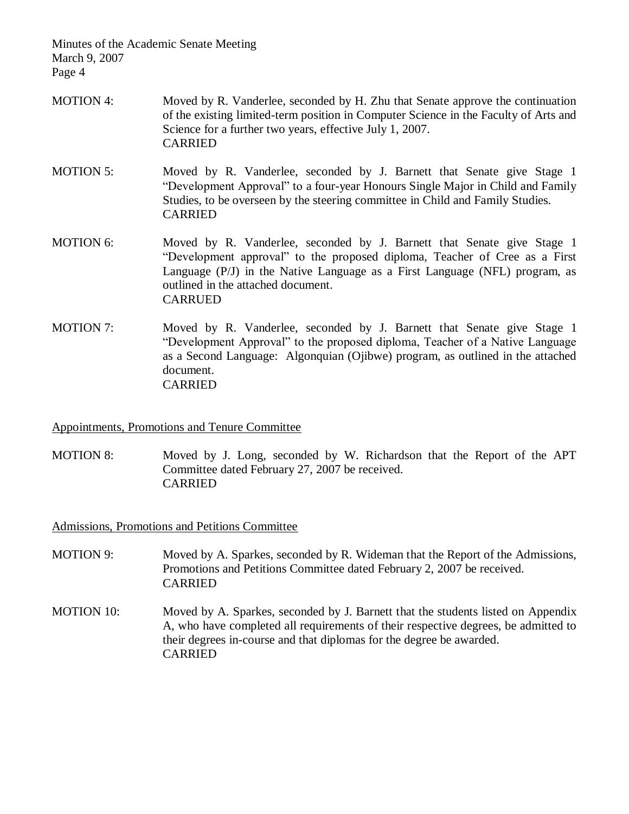- MOTION 4: Moved by R. Vanderlee, seconded by H. Zhu that Senate approve the continuation of the existing limited-term position in Computer Science in the Faculty of Arts and Science for a further two years, effective July 1, 2007. CARRIED
- MOTION 5: Moved by R. Vanderlee, seconded by J. Barnett that Senate give Stage 1 "Development Approval" to a four-year Honours Single Major in Child and Family Studies, to be overseen by the steering committee in Child and Family Studies. CARRIED
- MOTION 6: Moved by R. Vanderlee, seconded by J. Barnett that Senate give Stage 1 "Development approval" to the proposed diploma, Teacher of Cree as a First Language (P/J) in the Native Language as a First Language (NFL) program, as outlined in the attached document. CARRUED
- MOTION 7: Moved by R. Vanderlee, seconded by J. Barnett that Senate give Stage 1 "Development Approval" to the proposed diploma, Teacher of a Native Language as a Second Language: Algonquian (Ojibwe) program, as outlined in the attached document. CARRIED

# Appointments, Promotions and Tenure Committee

MOTION 8: Moved by J. Long, seconded by W. Richardson that the Report of the APT Committee dated February 27, 2007 be received. CARRIED

Admissions, Promotions and Petitions Committee

- MOTION 9: Moved by A. Sparkes, seconded by R. Wideman that the Report of the Admissions, Promotions and Petitions Committee dated February 2, 2007 be received. CARRIED
- MOTION 10: Moved by A. Sparkes, seconded by J. Barnett that the students listed on Appendix A, who have completed all requirements of their respective degrees, be admitted to their degrees in-course and that diplomas for the degree be awarded. CARRIED